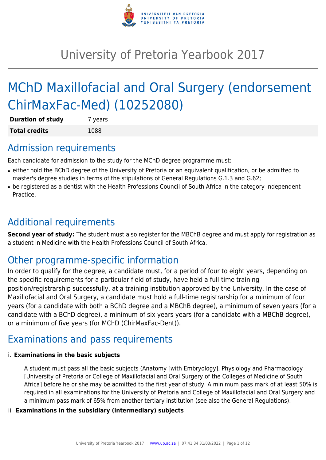

# University of Pretoria Yearbook 2017

# MChD Maxillofacial and Oral Surgery (endorsement ChirMaxFac-Med) (10252080)

| <b>Duration of study</b> | 7 years |
|--------------------------|---------|
| <b>Total credits</b>     | 1088    |

## Admission requirements

Each candidate for admission to the study for the MChD degree programme must:

- either hold the BChD degree of the University of Pretoria or an equivalent qualification, or be admitted to master's degree studies in terms of the stipulations of General Regulations G.1.3 and G.62;
- be registered as a dentist with the Health Professions Council of South Africa in the category Independent Practice.

## Additional requirements

**Second year of study:** The student must also register for the MBChB degree and must apply for registration as a student in Medicine with the Health Professions Council of South Africa.

## Other programme-specific information

In order to qualify for the degree, a candidate must, for a period of four to eight years, depending on the specific requirements for a particular field of study, have held a full-time training position/registrarship successfully, at a training institution approved by the University. In the case of Maxillofacial and Oral Surgery, a candidate must hold a full-time registrarship for a minimum of four years (for a candidate with both a BChD degree and a MBChB degree), a minimum of seven years (for a candidate with a BChD degree), a minimum of six years years (for a candidate with a MBChB degree), or a minimum of five years (for MChD (ChirMaxFac-Dent)).

## Examinations and pass requirements

#### i. **Examinations in the basic subjects**

A student must pass all the basic subjects (Anatomy [with Embryology], Physiology and Pharmacology [University of Pretoria or College of Maxillofacial and Oral Surgery of the Colleges of Medicine of South Africa] before he or she may be admitted to the first year of study. A minimum pass mark of at least 50% is required in all examinations for the University of Pretoria and College of Maxillofacial and Oral Surgery and a minimum pass mark of 65% from another tertiary institution (see also the General Regulations).

#### ii. **Examinations in the subsidiary (intermediary) subjects**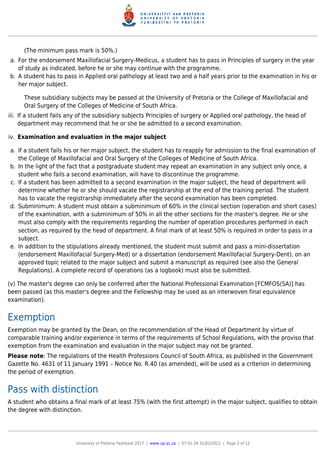

(The minimum pass mark is 50%.)

- a. For the endorsement Maxillofacial Surgery-Medicus, a student has to pass in Principles of surgery in the year of study as indicated, before he or she may continue with the programme.
- b. A student has to pass in Applied oral pathology at least two and a half years prior to the examination in his or her major subject.

These subsidiary subjects may be passed at the University of Pretoria or the College of Maxillofacial and Oral Surgery of the Colleges of Medicine of South Africa.

iii. If a student fails any of the subsidiary subjects Principles of surgery or Applied oral pathology, the head of department may recommend that he or she be admitted to a second examination.

#### iv. **Examination and evaluation in the major subject**

- a. If a student fails his or her major subject, the student has to reapply for admission to the final examination of the College of Maxillofacial and Oral Surgery of the Colleges of Medicine of South Africa.
- b. In the light of the fact that a postgraduate student may repeat an examination in any subject only once, a student who fails a second examination, will have to discontinue the programme.
- c. If a student has been admitted to a second examination in the major subject, the head of department will determine whether he or she should vacate the registrarship at the end of the training period. The student has to vacate the registrarship immediately after the second examination has been completed.
- d. Subminimum: A student must obtain a subminimum of 60% in the clinical section (operation and short cases) of the examination, with a subminimum of 50% in all the other sections for the master's degree. He or she must also comply with the requirements regarding the number of operation procedures performed in each section, as required by the head of department. A final mark of at least 50% is required in order to pass in a subject.
- e. In addition to the stipulations already mentioned, the student must submit and pass a mini-dissertation (endorsement Maxillofacial Surgery-Med) or a dissertation (endorsement Maxillofacial Surgery-Dent), on an approved topic related to the major subject and submit a manuscript as required (see also the General Regulations). A complete record of operations (as a logbook) must also be submitted.

(v) The master's degree can only be conferred after the National Professional Examination [FCMFOS(SA)] has been passed (as this master's degree and the Fellowship may be used as an interwoven final equivalence examination).

## Exemption

Exemption may be granted by the Dean, on the recommendation of the Head of Department by virtue of comparable training and/or experience in terms of the requirements of School Regulations, with the proviso that exemption from the examination and evaluation in the major subject may not be granted.

**Please note**: The regulations of the Health Professions Council of South Africa, as published in the Government Gazette No. 4631 of 11 January 1991 – Notice No. R.40 (as amended), will be used as a criterion in determining the period of exemption.

## Pass with distinction

A student who obtains a final mark of at least 75% (with the first attempt) in the major subject, qualifies to obtain the degree with distinction.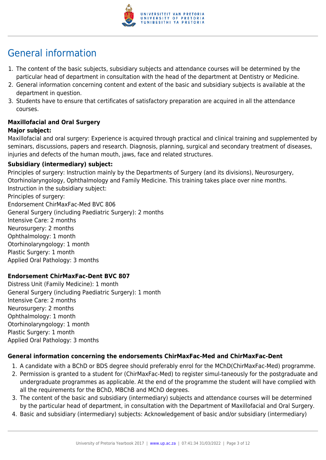

## General information

- 1. The content of the basic subjects, subsidiary subjects and attendance courses will be determined by the particular head of department in consultation with the head of the department at Dentistry or Medicine.
- 2. General information concerning content and extent of the basic and subsidiary subjects is available at the department in question.
- 3. Students have to ensure that certificates of satisfactory preparation are acquired in all the attendance courses.

#### **Maxillofacial and Oral Surgery Major subject:**

Maxillofacial and oral surgery: Experience is acquired through practical and clinical training and supplemented by seminars, discussions, papers and research. Diagnosis, planning, surgical and secondary treatment of diseases, injuries and defects of the human mouth, jaws, face and related structures.

#### **Subsidiary (intermediary) subject:**

Principles of surgery: Instruction mainly by the Departments of Surgery (and its divisions), Neurosurgery, Otorhinolaryngology, Ophthalmology and Family Medicine. This training takes place over nine months. Instruction in the subsidiary subject: Principles of surgery: Endorsement ChirMaxFac-Med BVC 806 General Surgery (including Paediatric Surgery): 2 months Intensive Care: 2 months Neurosurgery: 2 months Ophthalmology: 1 month Otorhinolaryngology: 1 month Plastic Surgery: 1 month Applied Oral Pathology: 3 months

#### **Endorsement ChirMaxFac-Dent BVC 807**

Distress Unit (Family Medicine): 1 month General Surgery (including Paediatric Surgery): 1 month Intensive Care: 2 months Neurosurgery: 2 months Ophthalmology: 1 month Otorhinolaryngology: 1 month Plastic Surgery: 1 month Applied Oral Pathology: 3 months

#### **General information concerning the endorsements ChirMaxFac-Med and ChirMaxFac-Dent**

- 1. A candidate with a BChD or BDS degree should preferably enrol for the MChD(ChirMaxFac-Med) programme.
- 2. Permission is granted to a student for (ChirMaxFac-Med) to register simul-taneously for the postgraduate and undergraduate programmes as applicable. At the end of the programme the student will have complied with all the requirements for the BChD, MBChB and MChD degrees.
- 3. The content of the basic and subsidiary (intermediary) subjects and attendance courses will be determined by the particular head of department, in consultation with the Department of Maxillofacial and Oral Surgery.
- 4. Basic and subsidiary (intermediary) subjects: Acknowledgement of basic and/or subsidiary (intermediary)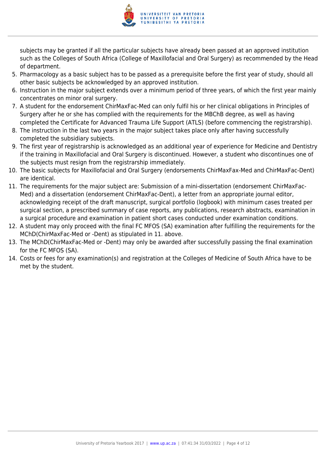

subjects may be granted if all the particular subjects have already been passed at an approved institution such as the Colleges of South Africa (College of Maxillofacial and Oral Surgery) as recommended by the Head of department.

- 5. Pharmacology as a basic subject has to be passed as a prerequisite before the first year of study, should all other basic subjects be acknowledged by an approved institution.
- 6. Instruction in the major subject extends over a minimum period of three years, of which the first year mainly concentrates on minor oral surgery.
- 7. A student for the endorsement ChirMaxFac-Med can only fulfil his or her clinical obligations in Principles of Surgery after he or she has complied with the requirements for the MBChB degree, as well as having completed the Certificate for Advanced Trauma Life Support (ATLS) (before commencing the registrarship).
- 8. The instruction in the last two years in the major subject takes place only after having successfully completed the subsidiary subjects.
- 9. The first year of registrarship is acknowledged as an additional year of experience for Medicine and Dentistry if the training in Maxillofacial and Oral Surgery is discontinued. However, a student who discontinues one of the subjects must resign from the registrarship immediately.
- 10. The basic subjects for Maxillofacial and Oral Surgery (endorsements ChirMaxFax-Med and ChirMaxFac-Dent) are identical.
- 11. The requirements for the major subject are: Submission of a mini-dissertation (endorsement ChirMaxFac-Med) and a dissertation (endorsement ChirMaxFac-Dent), a letter from an appropriate journal editor, acknowledging receipt of the draft manuscript, surgical portfolio (logbook) with minimum cases treated per surgical section, a prescribed summary of case reports, any publications, research abstracts, examination in a surgical procedure and examination in patient short cases conducted under examination conditions.
- 12. A student may only proceed with the final FC MFOS (SA) examination after fulfilling the requirements for the MChD(ChirMaxFac-Med or -Dent) as stipulated in 11. above.
- 13. The MChD(ChirMaxFac-Med or -Dent) may only be awarded after successfully passing the final examination for the FC MFOS (SA).
- 14. Costs or fees for any examination(s) and registration at the Colleges of Medicine of South Africa have to be met by the student.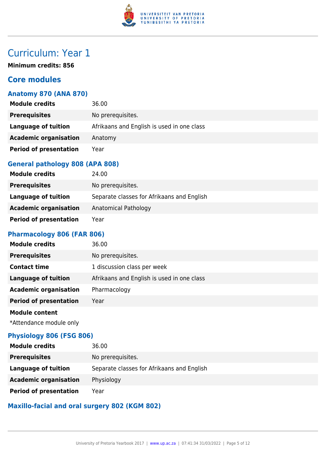

**Minimum credits: 856**

### **Core modules**

#### **Anatomy 870 (ANA 870)**

| <b>Module credits</b>         | 36.00                                      |
|-------------------------------|--------------------------------------------|
| <b>Prerequisites</b>          | No prerequisites.                          |
| <b>Language of tuition</b>    | Afrikaans and English is used in one class |
| <b>Academic organisation</b>  | Anatomy                                    |
| <b>Period of presentation</b> | Year                                       |

#### **General pathology 808 (APA 808)**

| <b>Module credits</b>         | 24.00                                      |
|-------------------------------|--------------------------------------------|
| <b>Prerequisites</b>          | No prerequisites.                          |
| Language of tuition           | Separate classes for Afrikaans and English |
| <b>Academic organisation</b>  | Anatomical Pathology                       |
| <b>Period of presentation</b> | Year                                       |

#### **Pharmacology 806 (FAR 806)**

| <b>Module credits</b>         | 36.00                                      |
|-------------------------------|--------------------------------------------|
| <b>Prerequisites</b>          | No prerequisites.                          |
| <b>Contact time</b>           | 1 discussion class per week                |
| <b>Language of tuition</b>    | Afrikaans and English is used in one class |
| <b>Academic organisation</b>  | Pharmacology                               |
| <b>Period of presentation</b> | Year                                       |
| <b>Module content</b>         |                                            |

\*Attendance module only

#### **Physiology 806 (FSG 806)**

| <b>Module credits</b>         | 36.00                                      |
|-------------------------------|--------------------------------------------|
| <b>Prerequisites</b>          | No prerequisites.                          |
| Language of tuition           | Separate classes for Afrikaans and English |
| <b>Academic organisation</b>  | Physiology                                 |
| <b>Period of presentation</b> | Year                                       |

### **Maxillo-facial and oral surgery 802 (KGM 802)**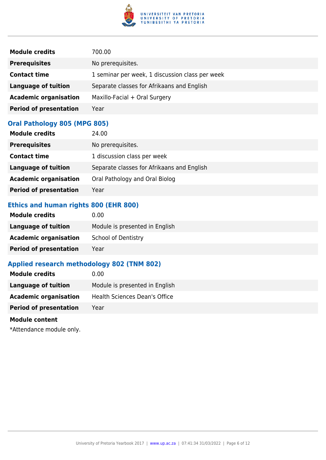

| <b>Module credits</b>         | 700.00                                          |
|-------------------------------|-------------------------------------------------|
| <b>Prerequisites</b>          | No prerequisites.                               |
| <b>Contact time</b>           | 1 seminar per week, 1 discussion class per week |
| <b>Language of tuition</b>    | Separate classes for Afrikaans and English      |
| <b>Academic organisation</b>  | Maxillo-Facial + Oral Surgery                   |
| <b>Period of presentation</b> | Year                                            |

### **Oral Pathology 805 (MPG 805)**

| <b>Module credits</b>         | 24.00                                      |
|-------------------------------|--------------------------------------------|
| <b>Prerequisites</b>          | No prerequisites.                          |
| <b>Contact time</b>           | 1 discussion class per week                |
| <b>Language of tuition</b>    | Separate classes for Afrikaans and English |
| <b>Academic organisation</b>  | Oral Pathology and Oral Biolog             |
| <b>Period of presentation</b> | Year                                       |

## **Ethics and human rights 800 (EHR 800)**

| <b>Module credits</b>         | 0.00                           |
|-------------------------------|--------------------------------|
| Language of tuition           | Module is presented in English |
| <b>Academic organisation</b>  | <b>School of Dentistry</b>     |
| <b>Period of presentation</b> | Yearl                          |

### **Applied research methodology 802 (TNM 802)**

| <b>Module credits</b>         | 0.00                           |
|-------------------------------|--------------------------------|
| <b>Language of tuition</b>    | Module is presented in English |
| <b>Academic organisation</b>  | Health Sciences Dean's Office  |
| <b>Period of presentation</b> | Year                           |
| <b>Module content</b>         |                                |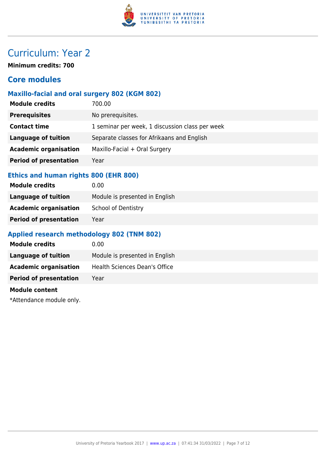

**Minimum credits: 700**

### **Core modules**

#### **Maxillo-facial and oral surgery 802 (KGM 802)**

| <b>Module credits</b>         | 700.00                                          |
|-------------------------------|-------------------------------------------------|
| <b>Prerequisites</b>          | No prerequisites.                               |
| <b>Contact time</b>           | 1 seminar per week, 1 discussion class per week |
| <b>Language of tuition</b>    | Separate classes for Afrikaans and English      |
| <b>Academic organisation</b>  | Maxillo-Facial + Oral Surgery                   |
| <b>Period of presentation</b> | Year                                            |
|                               |                                                 |

## **Ethics and human rights 800 (EHR 800)**

| 0.00                           |
|--------------------------------|
| Module is presented in English |
| <b>School of Dentistry</b>     |
| Year                           |
|                                |

#### **Applied research methodology 802 (TNM 802)**

| <b>Module credits</b>         | 0.00                           |
|-------------------------------|--------------------------------|
| Language of tuition           | Module is presented in English |
| <b>Academic organisation</b>  | Health Sciences Dean's Office  |
| <b>Period of presentation</b> | Year                           |
|                               |                                |

#### **Module content**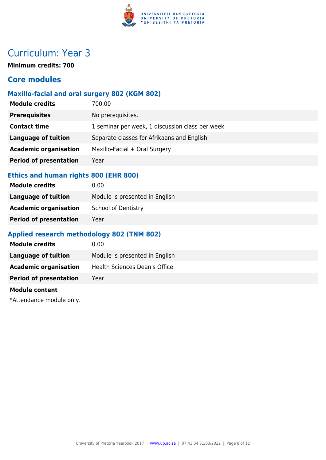

**Minimum credits: 700**

### **Core modules**

#### **Maxillo-facial and oral surgery 802 (KGM 802)**

| <b>Module credits</b>         | 700.00                                          |
|-------------------------------|-------------------------------------------------|
| <b>Prerequisites</b>          | No prerequisites.                               |
| <b>Contact time</b>           | 1 seminar per week, 1 discussion class per week |
| <b>Language of tuition</b>    | Separate classes for Afrikaans and English      |
| <b>Academic organisation</b>  | Maxillo-Facial + Oral Surgery                   |
| <b>Period of presentation</b> | Year                                            |
|                               |                                                 |

## **Ethics and human rights 800 (EHR 800)**

| 0.00                           |
|--------------------------------|
| Module is presented in English |
| <b>School of Dentistry</b>     |
| Year                           |
|                                |

#### **Applied research methodology 802 (TNM 802)**

| <b>Module credits</b>         | 0.00                           |
|-------------------------------|--------------------------------|
| Language of tuition           | Module is presented in English |
| <b>Academic organisation</b>  | Health Sciences Dean's Office  |
| <b>Period of presentation</b> | Year                           |
|                               |                                |

#### **Module content**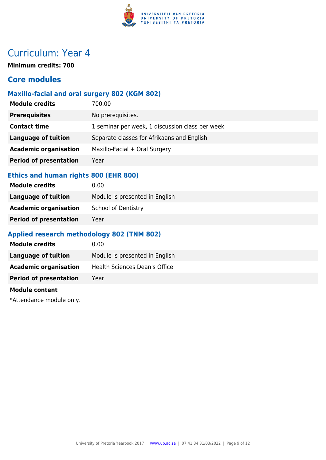

**Minimum credits: 700**

### **Core modules**

#### **Maxillo-facial and oral surgery 802 (KGM 802)**

| <b>Module credits</b>         | 700.00                                          |
|-------------------------------|-------------------------------------------------|
| <b>Prerequisites</b>          | No prerequisites.                               |
| <b>Contact time</b>           | 1 seminar per week, 1 discussion class per week |
| <b>Language of tuition</b>    | Separate classes for Afrikaans and English      |
| <b>Academic organisation</b>  | Maxillo-Facial + Oral Surgery                   |
| <b>Period of presentation</b> | Year                                            |
|                               |                                                 |

## **Ethics and human rights 800 (EHR 800)**

| 0.00                           |
|--------------------------------|
| Module is presented in English |
| <b>School of Dentistry</b>     |
| Year                           |
|                                |

### **Applied research methodology 802 (TNM 802)**

| <b>Module credits</b>         | 0.00                           |
|-------------------------------|--------------------------------|
| Language of tuition           | Module is presented in English |
| <b>Academic organisation</b>  | Health Sciences Dean's Office  |
| <b>Period of presentation</b> | Year                           |
|                               |                                |

#### **Module content**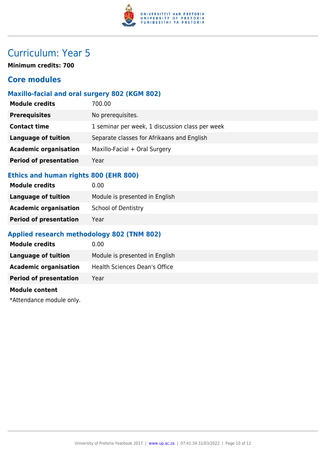

**Minimum credits: 700**

### **Core modules**

#### **Maxillo-facial and oral surgery 802 (KGM 802)**

| <b>Module credits</b>         | 700.00                                          |
|-------------------------------|-------------------------------------------------|
| <b>Prerequisites</b>          | No prerequisites.                               |
| <b>Contact time</b>           | 1 seminar per week, 1 discussion class per week |
| <b>Language of tuition</b>    | Separate classes for Afrikaans and English      |
| <b>Academic organisation</b>  | Maxillo-Facial + Oral Surgery                   |
| <b>Period of presentation</b> | Year                                            |
|                               |                                                 |

#### **Ethics and human rights 800 (EHR 800)**

| 0.00                           |
|--------------------------------|
| Module is presented in English |
| <b>School of Dentistry</b>     |
| Year                           |
|                                |

#### **Applied research methodology 802 (TNM 802)**

| <b>Module credits</b>         | 0.00                           |
|-------------------------------|--------------------------------|
| Language of tuition           | Module is presented in English |
| <b>Academic organisation</b>  | Health Sciences Dean's Office  |
| <b>Period of presentation</b> | Year                           |
|                               |                                |

#### **Module content**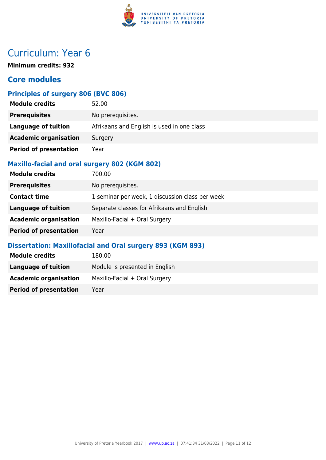

**Minimum credits: 932**

### **Core modules**

### **Principles of surgery 806 (BVC 806)**

| <b>Module credits</b>         | 52.00                                      |
|-------------------------------|--------------------------------------------|
| <b>Prerequisites</b>          | No prerequisites.                          |
| Language of tuition           | Afrikaans and English is used in one class |
| <b>Academic organisation</b>  | Surgery                                    |
| <b>Period of presentation</b> | Year                                       |

#### **Maxillo-facial and oral surgery 802 (KGM 802)**

| <b>Module credits</b>         | 700.00                                          |
|-------------------------------|-------------------------------------------------|
| <b>Prerequisites</b>          | No prerequisites.                               |
| <b>Contact time</b>           | 1 seminar per week, 1 discussion class per week |
| <b>Language of tuition</b>    | Separate classes for Afrikaans and English      |
| <b>Academic organisation</b>  | Maxillo-Facial + Oral Surgery                   |
| <b>Period of presentation</b> | Year                                            |

#### **Dissertation: Maxillofacial and Oral surgery 893 (KGM 893)**

| <b>Module credits</b>         | 180.00                         |
|-------------------------------|--------------------------------|
| Language of tuition           | Module is presented in English |
| <b>Academic organisation</b>  | Maxillo-Facial + Oral Surgery  |
| <b>Period of presentation</b> | Year                           |